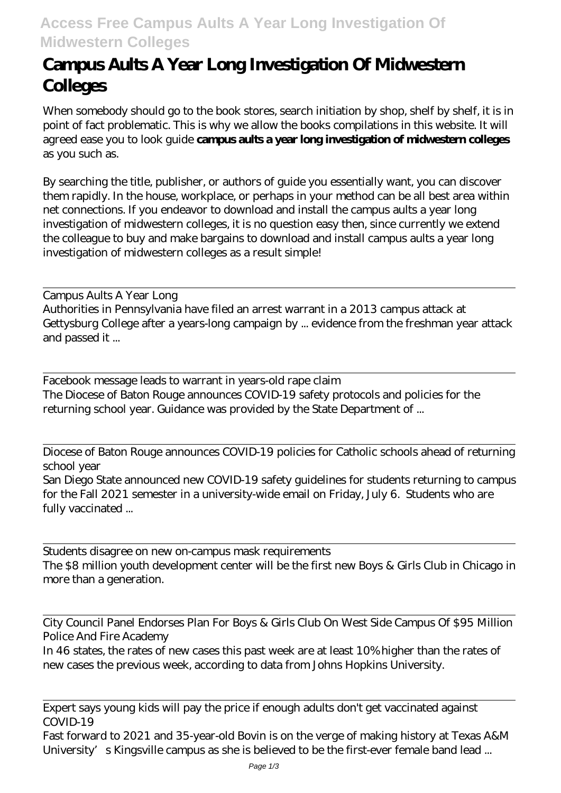## **Access Free Campus Aults A Year Long Investigation Of Midwestern Colleges**

## **Campus Aults A Year Long Investigation Of Midwestern Colleges**

When somebody should go to the book stores, search initiation by shop, shelf by shelf, it is in point of fact problematic. This is why we allow the books compilations in this website. It will agreed ease you to look guide **campus aults a year long investigation of midwestern colleges** as you such as.

By searching the title, publisher, or authors of guide you essentially want, you can discover them rapidly. In the house, workplace, or perhaps in your method can be all best area within net connections. If you endeavor to download and install the campus aults a year long investigation of midwestern colleges, it is no question easy then, since currently we extend the colleague to buy and make bargains to download and install campus aults a year long investigation of midwestern colleges as a result simple!

Campus Aults A Year Long Authorities in Pennsylvania have filed an arrest warrant in a 2013 campus attack at Gettysburg College after a years-long campaign by ... evidence from the freshman year attack and passed it ...

Facebook message leads to warrant in years-old rape claim The Diocese of Baton Rouge announces COVID-19 safety protocols and policies for the returning school year. Guidance was provided by the State Department of ...

Diocese of Baton Rouge announces COVID-19 policies for Catholic schools ahead of returning school year

San Diego State announced new COVID-19 safety guidelines for students returning to campus for the Fall 2021 semester in a university-wide email on Friday, July 6. Students who are fully vaccinated ...

Students disagree on new on-campus mask requirements The \$8 million youth development center will be the first new Boys & Girls Club in Chicago in more than a generation.

City Council Panel Endorses Plan For Boys & Girls Club On West Side Campus Of \$95 Million Police And Fire Academy

In 46 states, the rates of new cases this past week are at least 10% higher than the rates of new cases the previous week, according to data from Johns Hopkins University.

Expert says young kids will pay the price if enough adults don't get vaccinated against COVID-19

Fast forward to 2021 and 35-year-old Bovin is on the verge of making history at Texas A&M University's Kingsville campus as she is believed to be the first-ever female band lead ...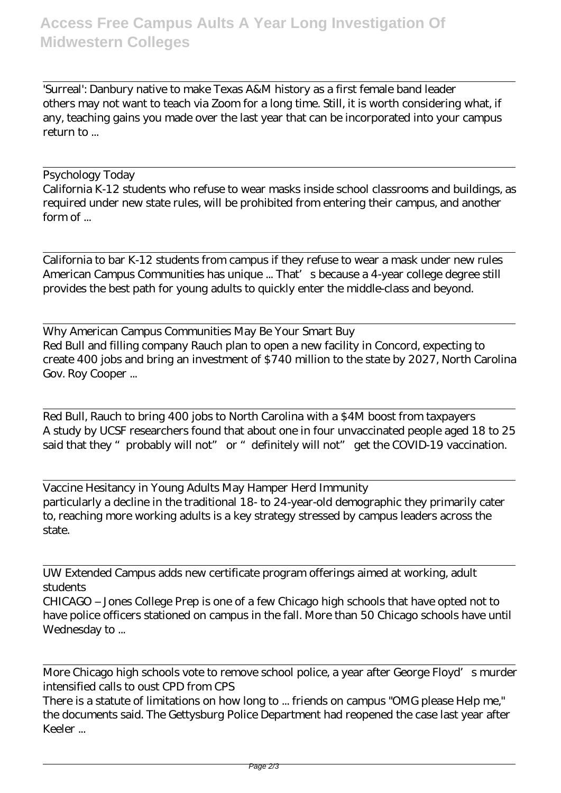'Surreal': Danbury native to make Texas A&M history as a first female band leader others may not want to teach via Zoom for a long time. Still, it is worth considering what, if any, teaching gains you made over the last year that can be incorporated into your campus return to ...

## Psychology Today

California K-12 students who refuse to wear masks inside school classrooms and buildings, as required under new state rules, will be prohibited from entering their campus, and another form of ...

California to bar K-12 students from campus if they refuse to wear a mask under new rules American Campus Communities has unique ... That's because a 4-year college degree still provides the best path for young adults to quickly enter the middle-class and beyond.

Why American Campus Communities May Be Your Smart Buy Red Bull and filling company Rauch plan to open a new facility in Concord, expecting to create 400 jobs and bring an investment of \$740 million to the state by 2027, North Carolina Gov. Roy Cooper ...

Red Bull, Rauch to bring 400 jobs to North Carolina with a \$4M boost from taxpayers A study by UCSF researchers found that about one in four unvaccinated people aged 18 to 25 said that they "probably will not" or "definitely will not" get the COVID-19 vaccination.

Vaccine Hesitancy in Young Adults May Hamper Herd Immunity particularly a decline in the traditional 18- to 24-year-old demographic they primarily cater to, reaching more working adults is a key strategy stressed by campus leaders across the state.

UW Extended Campus adds new certificate program offerings aimed at working, adult students

CHICAGO – Jones College Prep is one of a few Chicago high schools that have opted not to have police officers stationed on campus in the fall. More than 50 Chicago schools have until Wednesday to ...

More Chicago high schools vote to remove school police, a year after George Floyd's murder intensified calls to oust CPD from CPS

There is a statute of limitations on how long to ... friends on campus "OMG please Help me," the documents said. The Gettysburg Police Department had reopened the case last year after Keeler ...